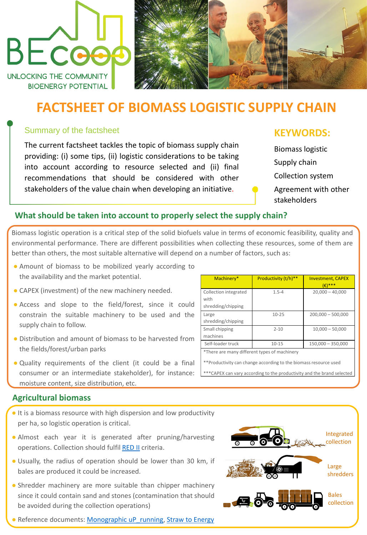# **FACTSHEET OF BIOMASS LOGISTIC SUPPLY CHAIN**

#### Summary of the factsheet

The current factsheet tackles the topic of biomass supply chain providing: (i) some tips, (ii) logistic considerations to be taking into account according to resource selected and (ii) final recommendations that should be considered with other stakeholders of the value chain when developing an initiative.

# **KEYWORDS:**

Biomass logistic Supply chain Collection system Agreement with other stakeholders

#### **What should be taken into account to properly select the supply chain?**

Biomass logistic operation is a critical step of the solid biofuels value in terms of economic feasibility, quality and environmental performance. There are different possibilities when collecting these resources, some of them are better than others, the most suitable alternative will depend on a number of factors, such as:

**•** It is a biomass resource with high dispersion and low productivity per ha, so logistic operation is critical.



- Almost each year it is generated after pruning/harvesting operations. Collection should fulfil [RED](https://eur-lex.europa.eu/legal-content/EN/TXT/?uri=uriserv:OJ.L_.2018.328.01.0082.01.ENG&toc=OJ:L:2018:328:TOC) II criteria.
- Usually, the radius of operation should be lower than 30 km, if bales are produced it could be increased.
- Shredder machinery are more suitable than chipper machinery since it could contain sand and stones (contamination that should be avoided during the collection operations)

• Reference documents: [Monographic](https://www.up-running.eu/wp-content/uploads/2018/09/1st-Monograph_vDEF-2.pdf) uP running, Straw to [Energy](https://agrobioheat.eu/wp-content/uploads/2020/11/AgroBioHeat_D7.6_Straw_to_energy_EN.pdf)

- Amount of biomass to be mobilized yearly according to the availability and the market potential.
- CAPEX (investment) of the new machinery needed.
- Access and slope to the field/forest, since it could constrain the suitable machinery to be used and the supply chain to follow.
- Distribution and amount of biomass to be harvested from the fields/forest/urban parks
- Quality requirements of the client (it could be a final consumer or an intermediate stakeholder), for instance: moisture content, size distribution, etc.

#### Machinery\* | Productivity (t/h)<sup>\*\*</sup> | Investment, CAPEX (€)\*\*\* Collection integrated with shredding/chipping 1.5-4 20,000 – 40,000 Large shredding/chipping 10-25 200,000 – 500,000 Small chipping machines 2-10 10,000 – 50,000 Self-loader truck 10-15 150,000 – 350,000 \*There are many different types of machinery \*\*Productivity can change according to the biomassresource used

#### **Agricultural biomass**



\*\*\*CAPEX can vary according to the productivity and the brand selected